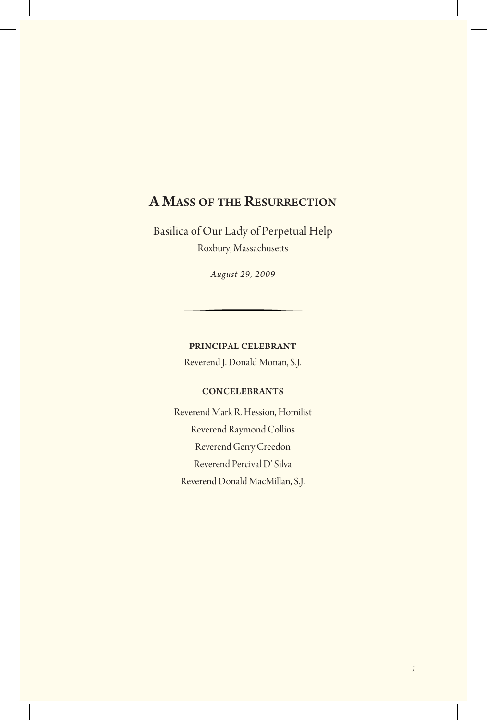# A MASS OF THE RESURRECTION

Basilica of Our Lady of Perpetual Help Roxbury, Massachusetts

*August 29, 2009*

## PRINCIPAL CELEBRANT

Reverend J.Donald Monan, S.J.

### **CONCELEBRANTS**

Reverend Mark R. Hession, Homilist Reverend Raymond Collins Reverend Gerry Creedon Reverend Percival D' Silva Reverend Donald MacMillan, S.J.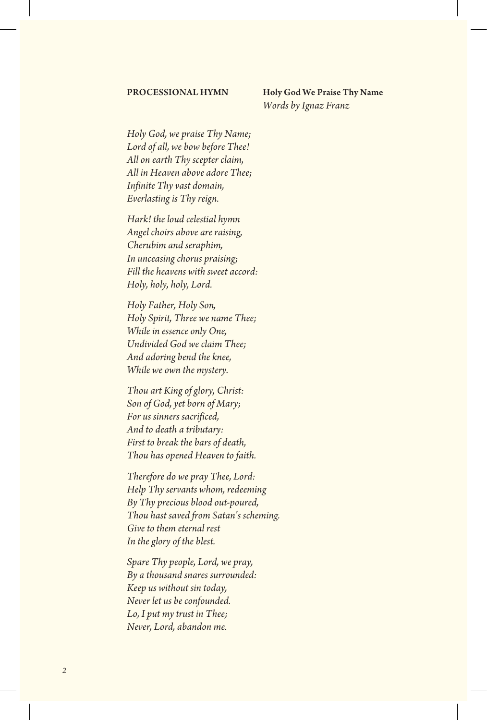PROCESSIONAL HYMN Holy God We Praise Thy Name *Words byIgnaz Franz*

*Holy God, we praise Thy Name; Lord of all, we bow before Thee! All on earth Thyscepter claim, All in Heaven above adore Thee; Infinite Thy vast domain, Everlastingis Thyreign.*

*Hark! the loud celestial hymn Angel choirs above are raising, Cherubim and seraphim, In unceasing chorus praising; Fill the heavens with sweet accord: Holy, holy, holy, Lord.*

*Holy Father, Holy Son, Holy Spirit, Three we name Thee; While in essence only One, Undivided God we claim Thee; And adoring bend the knee, While we own the mystery.*

*Thou art King ofglory, Christ: Son of God, yet born of Mary*; *For us sinners sacrificed, And to death a tributary: First to break the bars of death, Thou has opened Heaven to faith.*

*Therefore do we pray Thee, Lord: Help Thyservants whom, redeeming By Thy precious blood out-poured, Thou hast saved from Satan's scheming. Give to them eternal rest In theglory of the blest.*

*Spare Thy people, Lord, we pray, By a thousand snares surrounded: Keep us without sin today, Never let us be confounded. Lo, I put mytrust in Thee; Never, Lord, abandon me.*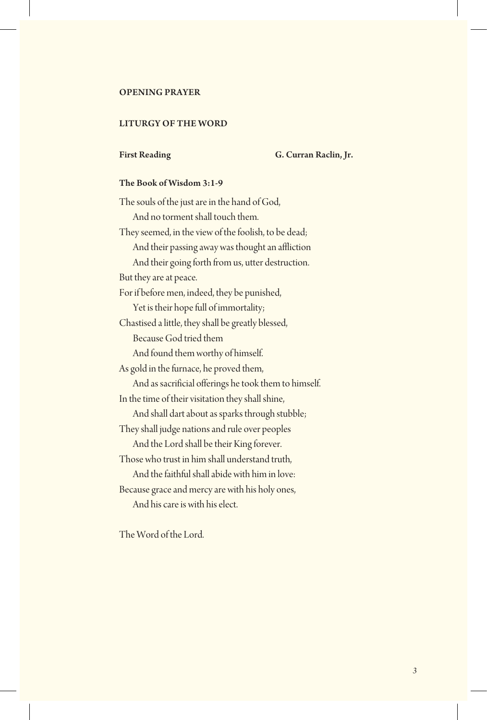#### OPENING PRAYER

#### LITURGY OF THE WORD

### First Reading G. Curran Raclin, Jr.

## The Book of Wisdom 3:1-9

The souls of the just are in the hand of God, And no torment shall touch them. They seemed, in the view of the foolish, to be dead; And their passing away was thought an affliction And their going forth from us, utter destruction. But they are at peace. For if before men, indeed, they be punished, Yet is their hope full of immortality; Chastised alittle, theyshall be greatly blessed, Because God tried them And found them worthy of himself. As gold in the furnace, he proved them, And as sacrificial offerings he took them to himself. In the time of their visitation they shall shine, And shall dart about as sparks through stubble; They shall judge nations and rule over peoples And the Lord shall be their King forever. Those who trust in him shall understand truth, And the faithful shall abide with him in love: Because grace and mercy are with his holy ones, And his care is with his elect.

The Word of the Lord.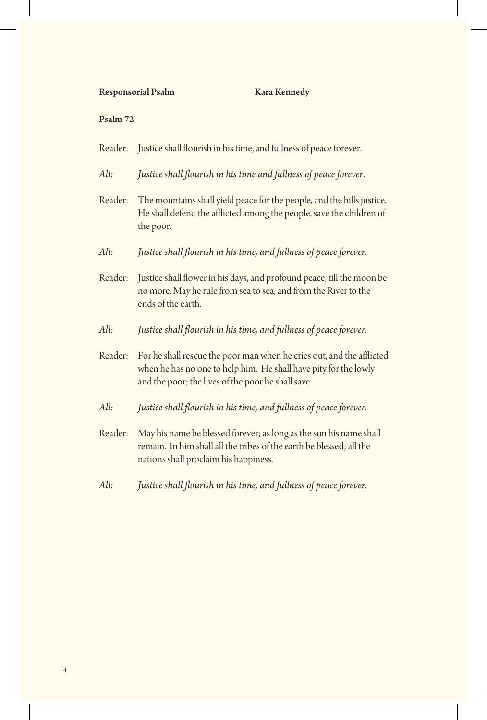#### Responsorial Psalm Kara Kennedy

#### Psalm 72

Reader: Justice shall flourish in his time, and fullness of peace forever.

- *All: Justice shall flourish in his time and fullness of peace forever.*
- Reader: The mountains shall yield peace for the people, and the hills justice. He shall defend the afflicted among the people, save the children of the poor.
- *All: Justice shall flourish in his time, and fullness of peace forever.*
- Reader: Justice shall flower in his days, and profound peace, till the moon be no more. May he rule from sea to sea, and from the River to the ends of the earth.
- *All: Justice shall flourish in his time, and fullness of peace forever.*
- Reader: For he shall rescue the poor man when he cries out, and the afflicted when he has no one to help him. He shall have pity for the lowly and the poor; the lives of the poor he shall save.
- *All: Justice shall flourish in his time, and fullness of peace forever.*
- Reader: May his name be blessed forever; as long as the sun his name shall remain. In him shall all the tribes of the earth be blessed; all the nations shall proclaim his happiness.
- *All: Justice shall flourish in his time, and fullness of peace forever.*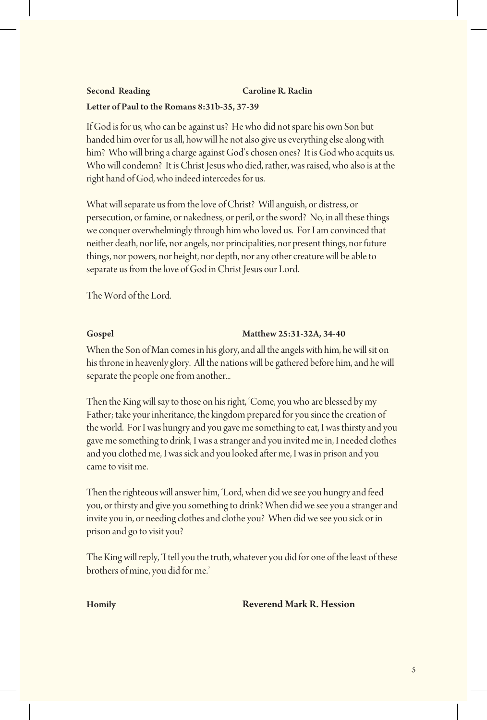#### Second Reading Caroline R. Raclin

#### Letter of Paul to the Romans 8:31b-35, 37-39

If God is for us, who can be against us? He who did not spare his own Son but handed him over for us all, how will he not also give us everything else along with him? Who will bring a charge against God's chosen ones? It is God who acquits us. Who will condemn? It is Christ Jesus who died, rather, was raised, who also is at the right hand of God, who indeed intercedes for us.

What will separate us from the love of Christ? Will anguish, or distress, or persecution, or famine, or nakedness, or peril, or the sword? No, in all these things we conquer overwhelmingly through him who loved us. For I am convinced that neither death, nor life, nor angels, nor principalities, nor present things, nor future things, nor powers, nor height, nor depth, nor any other creature will be able to separate us from the love of God in Christ Jesus our Lord.

The Word of the Lord.

#### Gospel Matthew 25:31-32A, 34-40

When the Son of Man comes in his glory, and all the angels with him, he will sit on his throne in heavenly glory. All the nations will be gathered before him, and he will separate the people one from another...

Then the King will say to those on his right, 'Come, you who are blessed by my Father; take your inheritance, the kingdom prepared for you since the creation of the world. For I was hungry and you gave me something to eat, I was thirsty and you gave me something to drink, I was a stranger and you invited me in, I needed clothes and you clothed me, I was sick and you looked after me, I was in prison and you cameto visit me.

Then the righteous will answer him, 'Lord, when did we see you hungry and feed you, or thirsty and give you something to drink? When did we see you a stranger and invite you in, or needing clothes and clothe you? When did we see you sick or in prison and go to visit you?

The King will reply, 'I tell you the truth, whatever you did for one of the least of these brothers of mine, you did for me.'

### Homily Reverend Mark R. Hession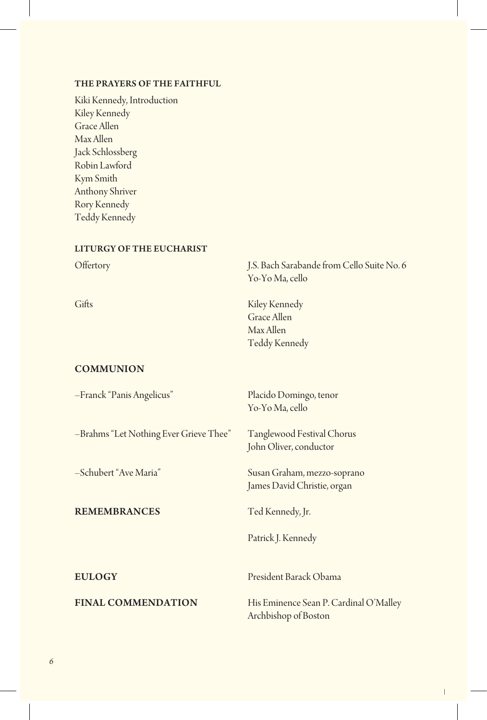## THE PRAYERS OF THE FAITHFUL

KennedyFuneralMassProgram2:Layout 1 8/28/09 6:41 PM Page 6

Kiki Kennedy, Introduction Kiley Kennedy Grace Allen Max Allen Jack Schlossberg Robin Lawford Kym Smith Anthony Shriver Rory Kennedy Teddy Kennedy

## LITURGY OF THE EUCHARIST

| Offertory                              | J.S. Bach Sarabande from Cello Suite No. 6<br>Yo-Yo Ma, cello  |  |
|----------------------------------------|----------------------------------------------------------------|--|
| Gifts                                  | Kiley Kennedy<br>Grace Allen<br>Max Allen<br>Teddy Kennedy     |  |
| <b>COMMUNION</b>                       |                                                                |  |
| -Franck "Panis Angelicus"              | Placido Domingo, tenor<br>Yo-Yo Ma, cello                      |  |
| -Brahms "Let Nothing Ever Grieve Thee" | Tanglewood Festival Chorus<br>John Oliver, conductor           |  |
| -Schubert "Ave Maria"                  | Susan Graham, mezzo-soprano<br>James David Christie, organ     |  |
| <b>REMEMBRANCES</b>                    | Ted Kennedy, Jr.                                               |  |
|                                        | Patrick J. Kennedy                                             |  |
| <b>EULOGY</b>                          | President Barack Obama                                         |  |
| <b>FINAL COMMENDATION</b>              | His Eminence Sean P. Cardinal O'Malley<br>Archbishop of Boston |  |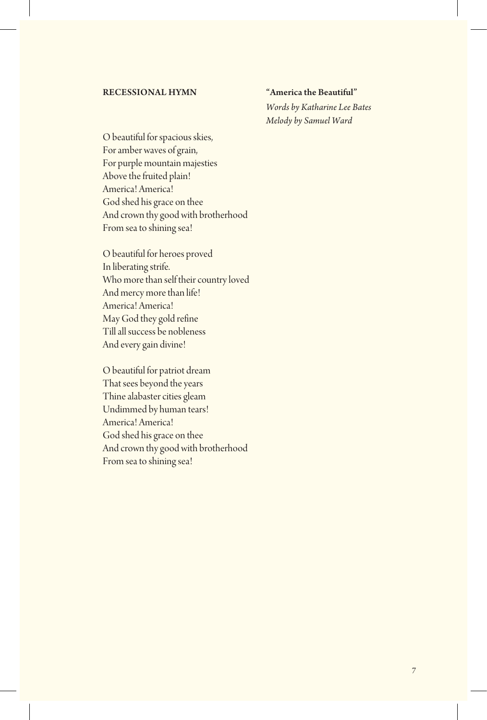#### RECESSIONAL HYMN

#### "America the Beautiful"

*Words by Katharine Lee Bates Melody by Samuel Ward*

O beautiful for spacious skies, For amber waves of grain, For purple mountain majesties Above the fruited plain! America! America! God shed his grace on thee And crown thy good with brotherhood From sea to shining sea!

O beautiful for heroes proved In liberating strife. Who more than self their country loved And mercy more than life! America! America! MayGod they gold refine Till all success be nobleness And every gain divine!

O beautiful for patriot dream That sees beyond the years Thine alabaster cities gleam Undimmed by human tears! America! America! God shed his grace on thee And crown thy good with brotherhood From seato shining sea!